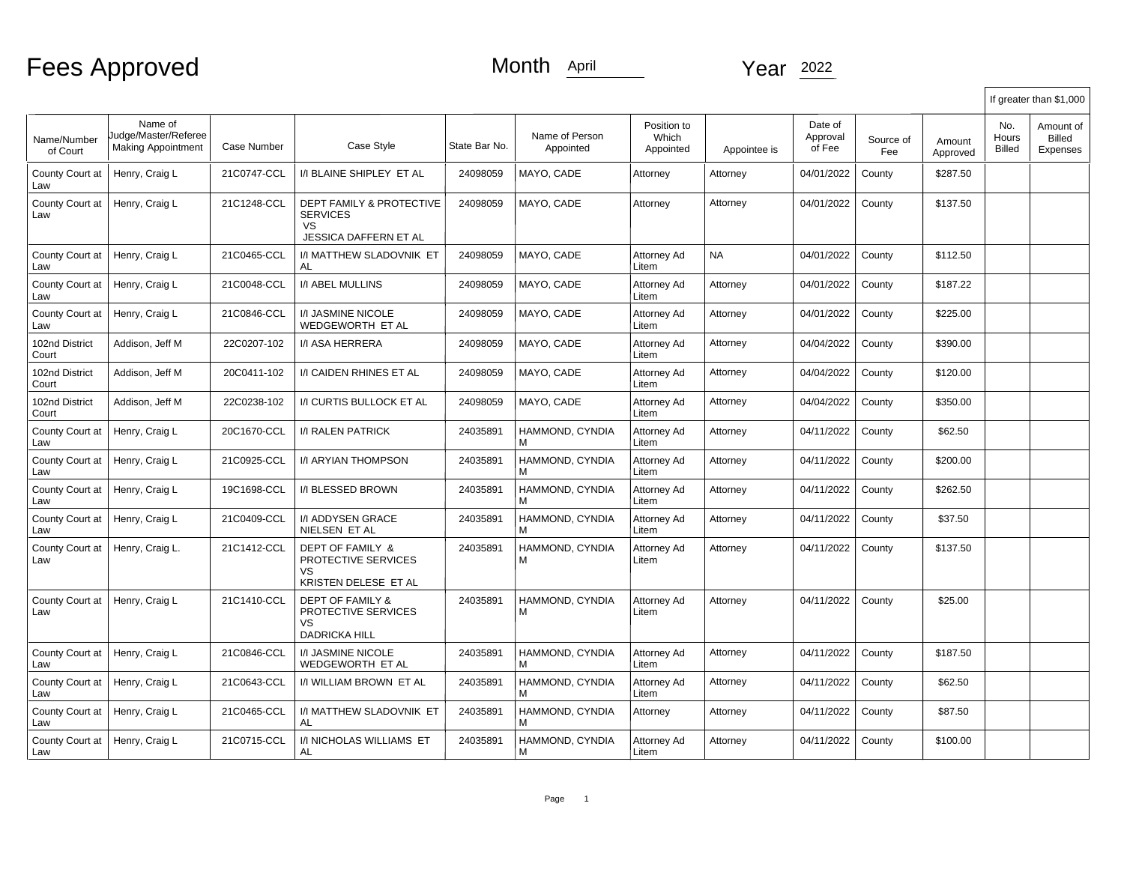# Fees Approved

### Month April Year 2022

|                         |                                                              |             |                                                                                              |               |                             |                                   |              |                               |                  |                    |                        | If greater than \$1,000                |
|-------------------------|--------------------------------------------------------------|-------------|----------------------------------------------------------------------------------------------|---------------|-----------------------------|-----------------------------------|--------------|-------------------------------|------------------|--------------------|------------------------|----------------------------------------|
| Name/Number<br>of Court | Name of<br>Judge/Master/Referee<br><b>Making Appointment</b> | Case Number | Case Style                                                                                   | State Bar No. | Name of Person<br>Appointed | Position to<br>Which<br>Appointed | Appointee is | Date of<br>Approval<br>of Fee | Source of<br>Fee | Amount<br>Approved | No.<br>Hours<br>Billed | Amount of<br><b>Billed</b><br>Expenses |
| County Court at<br>Law  | Henry, Craig L                                               | 21C0747-CCL | I/I BLAINE SHIPLEY ET AL                                                                     | 24098059      | MAYO, CADE                  | Attorney                          | Attorney     | 04/01/2022                    | County           | \$287.50           |                        |                                        |
| County Court at<br>Law  | Henry, Craig L                                               | 21C1248-CCL | <b>DEPT FAMILY &amp; PROTECTIVE</b><br><b>SERVICES</b><br><b>VS</b><br>JESSICA DAFFERN ET AL | 24098059      | MAYO, CADE                  | Attorney                          | Attorney     | 04/01/2022                    | County           | \$137.50           |                        |                                        |
| County Court at<br>Law  | Henry, Craig L                                               | 21C0465-CCL | I/I MATTHEW SLADOVNIK ET<br>AL                                                               | 24098059      | MAYO, CADE                  | Attorney Ad<br>Litem              | <b>NA</b>    | 04/01/2022                    | County           | \$112.50           |                        |                                        |
| County Court at<br>Law  | Henry, Craig L                                               | 21C0048-CCL | I/I ABEL MULLINS                                                                             | 24098059      | MAYO, CADE                  | Attorney Ad<br>Litem              | Attorney     | 04/01/2022                    | County           | \$187.22           |                        |                                        |
| County Court at<br>Law  | Henry, Craig L                                               | 21C0846-CCL | I/I JASMINE NICOLE<br>WEDGEWORTH ET AL                                                       | 24098059      | MAYO, CADE                  | Attorney Ad<br>Litem              | Attorney     | 04/01/2022                    | County           | \$225.00           |                        |                                        |
| 102nd District<br>Court | Addison, Jeff M                                              | 22C0207-102 | I/I ASA HERRERA                                                                              | 24098059      | MAYO, CADE                  | Attorney Ad<br>Litem              | Attorney     | 04/04/2022                    | County           | \$390.00           |                        |                                        |
| 102nd District<br>Court | Addison, Jeff M                                              | 20C0411-102 | I/I CAIDEN RHINES ET AL                                                                      | 24098059      | MAYO, CADE                  | Attorney Ad<br>Litem              | Attorney     | 04/04/2022                    | County           | \$120.00           |                        |                                        |
| 102nd District<br>Court | Addison, Jeff M                                              | 22C0238-102 | I/I CURTIS BULLOCK ET AL                                                                     | 24098059      | MAYO, CADE                  | Attorney Ad<br>Litem              | Attorney     | 04/04/2022                    | County           | \$350.00           |                        |                                        |
| County Court at<br>Law  | Henry, Craig L                                               | 20C1670-CCL | I/I RALEN PATRICK                                                                            | 24035891      | HAMMOND, CYNDIA<br>М        | Attorney Ad<br>Litem              | Attorney     | 04/11/2022                    | County           | \$62.50            |                        |                                        |
| County Court at<br>Law  | Henry, Craig L                                               | 21C0925-CCL | I/I ARYIAN THOMPSON                                                                          | 24035891      | HAMMOND, CYNDIA<br>М        | Attorney Ad<br>Litem              | Attorney     | 04/11/2022                    | County           | \$200.00           |                        |                                        |
| County Court at<br>Law  | Henry, Craig L                                               | 19C1698-CCL | I/I BLESSED BROWN                                                                            | 24035891      | HAMMOND, CYNDIA             | Attorney Ad<br>Litem              | Attorney     | 04/11/2022                    | County           | \$262.50           |                        |                                        |
| County Court at<br>Law  | Henry, Craig L                                               | 21C0409-CCL | I/I ADDYSEN GRACE<br>NIELSEN ET AL                                                           | 24035891      | HAMMOND, CYNDIA<br>М        | Attorney Ad<br>Litem              | Attorney     | 04/11/2022                    | County           | \$37.50            |                        |                                        |
| County Court at<br>Law  | Henry, Craig L.                                              | 21C1412-CCL | DEPT OF FAMILY &<br>PROTECTIVE SERVICES<br>VS.<br>KRISTEN DELESE ET AL                       | 24035891      | HAMMOND, CYNDIA<br>М        | Attorney Ad<br>Litem              | Attorney     | 04/11/2022                    | County           | \$137.50           |                        |                                        |
| County Court at<br>Law  | Henry, Craig L                                               | 21C1410-CCL | <b>DEPT OF FAMILY &amp;</b><br>PROTECTIVE SERVICES<br><b>VS</b><br>DADRICKA HILL             | 24035891      | HAMMOND, CYNDIA<br>м        | Attorney Ad<br>Litem              | Attorney     | 04/11/2022                    | County           | \$25.00            |                        |                                        |
| County Court at<br>Law  | Henry, Craig L                                               | 21C0846-CCL | <b>I/I JASMINE NICOLE</b><br>WEDGEWORTH ET AL                                                | 24035891      | HAMMOND, CYNDIA<br>м        | Attorney Ad<br>Litem              | Attorney     | 04/11/2022                    | County           | \$187.50           |                        |                                        |
| County Court at<br>Law  | Henry, Craig L                                               | 21C0643-CCL | I/I WILLIAM BROWN ET AL                                                                      | 24035891      | HAMMOND, CYNDIA<br>м        | Attorney Ad<br>Litem              | Attorney     | 04/11/2022                    | County           | \$62.50            |                        |                                        |
| County Court at<br>Law  | Henry, Craig L                                               | 21C0465-CCL | I/I MATTHEW SLADOVNIK ET<br>AL                                                               | 24035891      | HAMMOND, CYNDIA<br>М        | Attorney                          | Attorney     | 04/11/2022                    | County           | \$87.50            |                        |                                        |
| County Court at<br>Law  | Henry, Craig L                                               | 21C0715-CCL | I/I NICHOLAS WILLIAMS ET<br>AL                                                               | 24035891      | HAMMOND, CYNDIA<br>М        | Attorney Ad<br>Litem              | Attorney     | 04/11/2022                    | County           | \$100.00           |                        |                                        |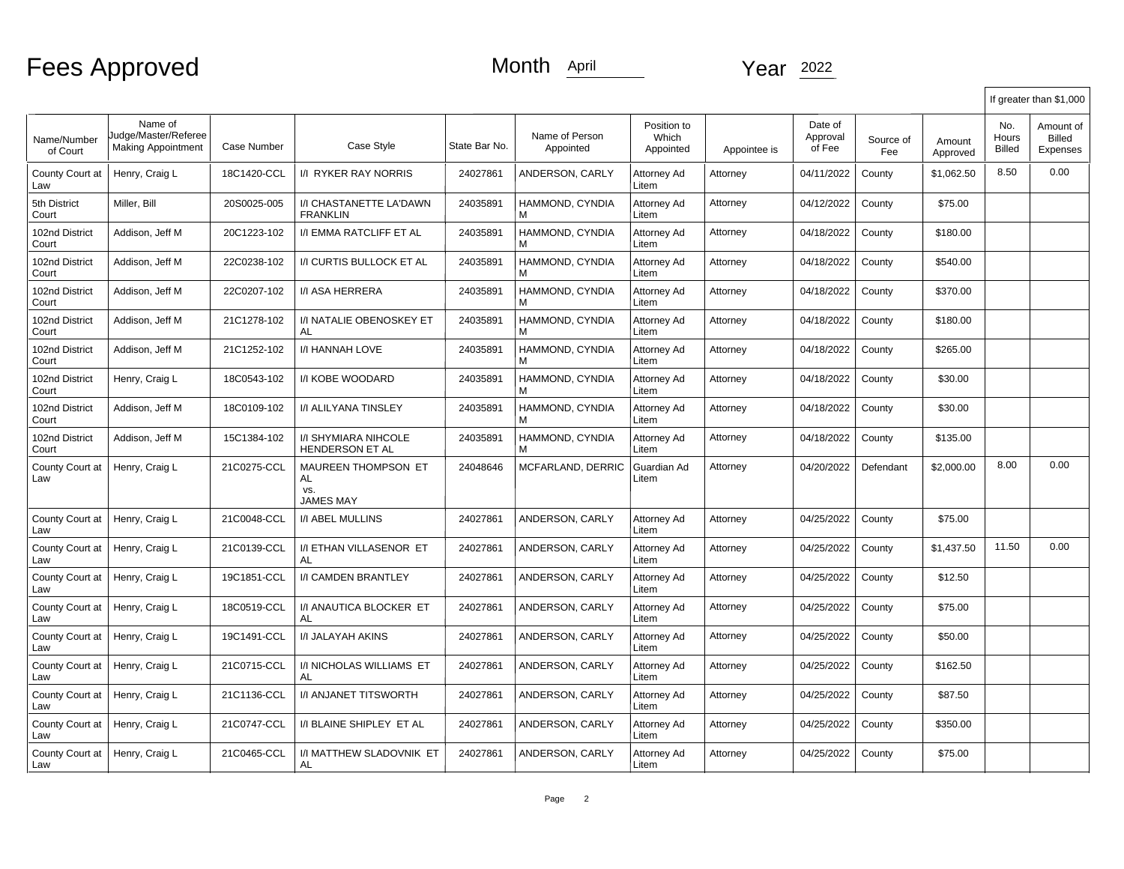### Month April 2022

|                         |                                                              |             |                                                             |               |                             |                                   |              |                               |                  |                    |                               | If greater than \$1,000                       |
|-------------------------|--------------------------------------------------------------|-------------|-------------------------------------------------------------|---------------|-----------------------------|-----------------------------------|--------------|-------------------------------|------------------|--------------------|-------------------------------|-----------------------------------------------|
| Name/Number<br>of Court | Name of<br>Judge/Master/Referee<br><b>Making Appointment</b> | Case Number | Case Style                                                  | State Bar No. | Name of Person<br>Appointed | Position to<br>Which<br>Appointed | Appointee is | Date of<br>Approval<br>of Fee | Source of<br>Fee | Amount<br>Approved | No.<br>Hours<br><b>Billed</b> | Amount of<br><b>Billed</b><br><b>Expenses</b> |
| County Court at<br>Law  | Henry, Craig L                                               | 18C1420-CCL | <b>I/I RYKER RAY NORRIS</b>                                 | 24027861      | ANDERSON, CARLY             | Attorney Ad<br>Litem              | Attorney     | 04/11/2022                    | County           | \$1,062.50         | 8.50                          | 0.00                                          |
| 5th District<br>Court   | Miller, Bill                                                 | 20S0025-005 | I/I CHASTANETTE LA'DAWN<br><b>FRANKLIN</b>                  | 24035891      | HAMMOND, CYNDIA             | Attorney Ad<br>Litem              | Attorney     | 04/12/2022                    | County           | \$75.00            |                               |                                               |
| 102nd District<br>Court | Addison, Jeff M                                              | 20C1223-102 | I/I EMMA RATCLIFF ET AL                                     | 24035891      | HAMMOND, CYNDIA             | Attorney Ad<br>Litem              | Attorney     | 04/18/2022                    | County           | \$180.00           |                               |                                               |
| 102nd District<br>Court | Addison, Jeff M                                              | 22C0238-102 | I/I CURTIS BULLOCK ET AL                                    | 24035891      | HAMMOND, CYNDIA<br>м        | Attorney Ad<br>Litem              | Attorney     | 04/18/2022                    | County           | \$540.00           |                               |                                               |
| 102nd District<br>Court | Addison, Jeff M                                              | 22C0207-102 | I/I ASA HERRERA                                             | 24035891      | HAMMOND, CYNDIA<br>м        | Attorney Ad<br>Litem              | Attorney     | 04/18/2022                    | County           | \$370.00           |                               |                                               |
| 102nd District<br>Court | Addison, Jeff M                                              | 21C1278-102 | I/I NATALIE OBENOSKEY ET<br>AL                              | 24035891      | HAMMOND, CYNDIA<br>м        | Attorney Ad<br>Litem              | Attorney     | 04/18/2022                    | County           | \$180.00           |                               |                                               |
| 102nd District<br>Court | Addison, Jeff M                                              | 21C1252-102 | <b>I/I HANNAH LOVE</b>                                      | 24035891      | HAMMOND, CYNDIA<br>М        | Attorney Ad<br>Litem              | Attorney     | 04/18/2022                    | County           | \$265.00           |                               |                                               |
| 102nd District<br>Court | Henry, Craig L                                               | 18C0543-102 | I/I KOBE WOODARD                                            | 24035891      | HAMMOND, CYNDIA<br>М        | Attorney Ad<br>Litem              | Attorney     | 04/18/2022                    | County           | \$30.00            |                               |                                               |
| 102nd District<br>Court | Addison, Jeff M                                              | 18C0109-102 | <b>I/I ALILYANA TINSLEY</b>                                 | 24035891      | HAMMOND, CYNDIA<br>м        | Attorney Ad<br>Litem              | Attorney     | 04/18/2022                    | County           | \$30.00            |                               |                                               |
| 102nd District<br>Court | Addison, Jeff M                                              | 15C1384-102 | <b>I/I SHYMIARA NIHCOLE</b><br>HENDERSON ET AL              | 24035891      | HAMMOND, CYNDIA<br>м        | Attorney Ad<br>Litem              | Attorney     | 04/18/2022                    | County           | \$135.00           |                               |                                               |
| County Court at<br>Law  | Henry, Craig L                                               | 21C0275-CCL | <b>MAUREEN THOMPSON ET</b><br>AL<br>VS.<br><b>JAMES MAY</b> | 24048646      | MCFARLAND, DERRIC           | Guardian Ad<br>Litem              | Attorney     | 04/20/2022                    | Defendant        | \$2,000.00         | 8.00                          | 0.00                                          |
| County Court at<br>Law  | Henry, Craig L                                               | 21C0048-CCL | <b>I/I ABEL MULLINS</b>                                     | 24027861      | ANDERSON, CARLY             | Attorney Ad<br>Litem              | Attorney     | 04/25/2022                    | County           | \$75.00            |                               |                                               |
| County Court at<br>Law  | Henry, Craig L                                               | 21C0139-CCL | <b>I/I ETHAN VILLASENOR ET</b><br>AL                        | 24027861      | ANDERSON, CARLY             | Attorney Ad<br>Litem              | Attorney     | 04/25/2022                    | County           | \$1,437.50         | 11.50                         | 0.00                                          |
| County Court at<br>Law  | Henry, Craig L                                               | 19C1851-CCL | <b>I/I CAMDEN BRANTLEY</b>                                  | 24027861      | ANDERSON, CARLY             | Attorney Ad<br>Litem              | Attorney     | 04/25/2022                    | County           | \$12.50            |                               |                                               |
| County Court at<br>Law  | Henry, Craig L                                               | 18C0519-CCL | I/I ANAUTICA BLOCKER ET<br>AL                               | 24027861      | ANDERSON, CARLY             | Attorney Ad<br>Litem              | Attorney     | 04/25/2022                    | County           | \$75.00            |                               |                                               |
| County Court at<br>Law  | Henry, Craig L                                               | 19C1491-CCL | I/I JALAYAH AKINS                                           | 24027861      | ANDERSON, CARLY             | Attorney Ad<br>Litem              | Attorney     | 04/25/2022                    | County           | \$50.00            |                               |                                               |
| County Court at<br>Law  | Henry, Craig L                                               | 21C0715-CCL | I/I NICHOLAS WILLIAMS ET<br>AL                              | 24027861      | ANDERSON, CARLY             | Attorney Ad<br>Litem              | Attorney     | 04/25/2022                    | County           | \$162.50           |                               |                                               |
| County Court at<br>Law  | Henry, Craig L                                               | 21C1136-CCL | <b>I/I ANJANET TITSWORTH</b>                                | 24027861      | ANDERSON, CARLY             | Attorney Ad<br>Litem              | Attorney     | 04/25/2022                    | County           | \$87.50            |                               |                                               |
| County Court at<br>Law  | Henry, Craig L                                               | 21C0747-CCL | I/I BLAINE SHIPLEY ET AL                                    | 24027861      | ANDERSON, CARLY             | Attorney Ad<br>Litem              | Attorney     | 04/25/2022                    | County           | \$350.00           |                               |                                               |
| County Court at<br>Law  | Henry, Craig L                                               | 21C0465-CCL | I/I MATTHEW SLADOVNIK ET<br>AL                              | 24027861      | ANDERSON, CARLY             | Attorney Ad<br>Litem              | Attorney     | 04/25/2022                    | County           | \$75.00            |                               |                                               |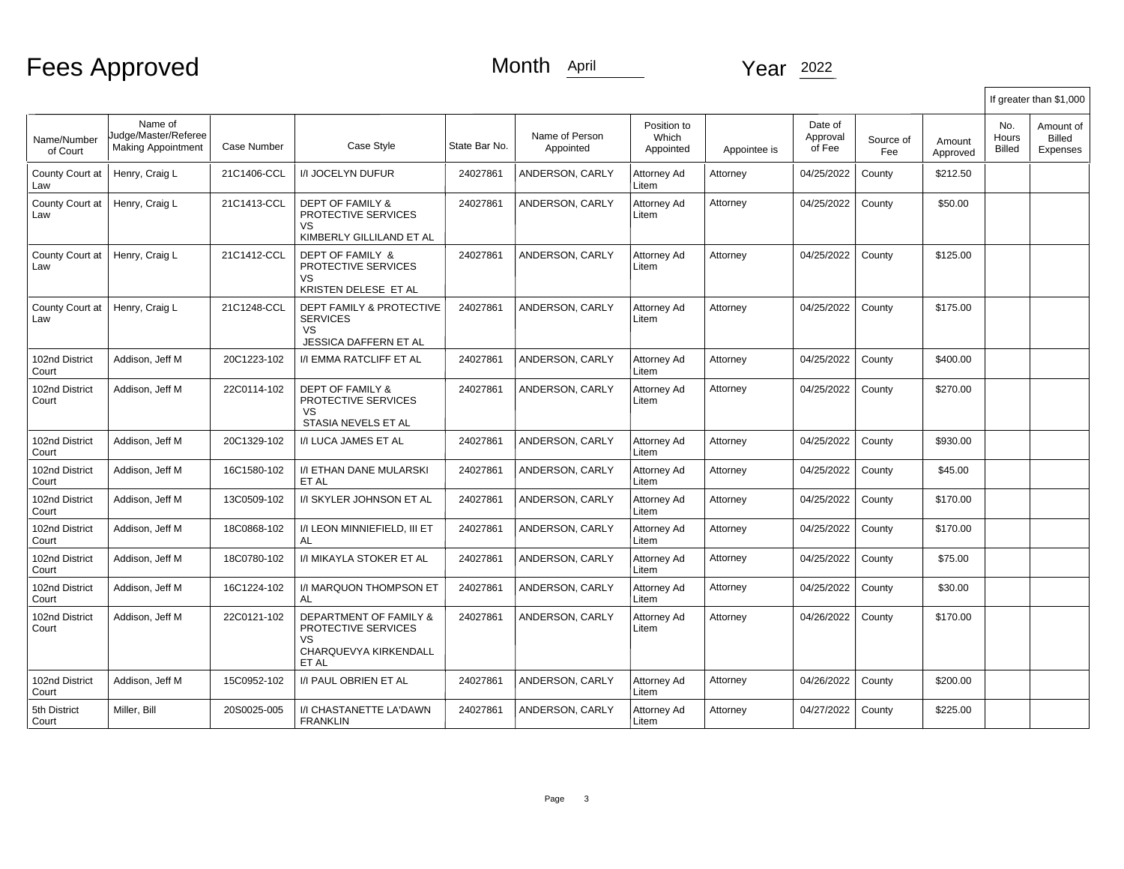# Fees Approved

### Month April Year 2022

|                         |                                                              |             |                                                                                              |               |                             |                                   |              |                               |                  |                    |                        | If greater than \$1,000         |
|-------------------------|--------------------------------------------------------------|-------------|----------------------------------------------------------------------------------------------|---------------|-----------------------------|-----------------------------------|--------------|-------------------------------|------------------|--------------------|------------------------|---------------------------------|
| Name/Number<br>of Court | Name of<br>Judge/Master/Referee<br><b>Making Appointment</b> | Case Number | Case Style                                                                                   | State Bar No. | Name of Person<br>Appointed | Position to<br>Which<br>Appointed | Appointee is | Date of<br>Approval<br>of Fee | Source of<br>Fee | Amount<br>Approved | No.<br>Hours<br>Billed | Amount of<br>Billed<br>Expenses |
| County Court at<br>Law  | Henry, Craig L                                               | 21C1406-CCL | <b>I/I JOCELYN DUFUR</b>                                                                     | 24027861      | ANDERSON, CARLY             | Attorney Ad<br>Litem              | Attorney     | 04/25/2022                    | County           | \$212.50           |                        |                                 |
| County Court at<br>Law  | Henry, Craig L                                               | 21C1413-CCL | <b>DEPT OF FAMILY &amp;</b><br>PROTECTIVE SERVICES<br>VS<br>KIMBERLY GILLILAND ET AL         | 24027861      | ANDERSON, CARLY             | Attorney Ad<br>Litem              | Attorney     | 04/25/2022                    | County           | \$50.00            |                        |                                 |
| County Court at<br>Law  | Henry, Craig L                                               | 21C1412-CCL | DEPT OF FAMILY &<br>PROTECTIVE SERVICES<br><b>VS</b><br>KRISTEN DELESE ET AL                 | 24027861      | ANDERSON, CARLY             | Attorney Ad<br>Litem              | Attorney     | 04/25/2022                    | County           | \$125.00           |                        |                                 |
| County Court at<br>Law  | Henry, Craig L                                               | 21C1248-CCL | <b>DEPT FAMILY &amp; PROTECTIVE</b><br><b>SERVICES</b><br>VS<br>JESSICA DAFFERN ET AL        | 24027861      | ANDERSON, CARLY             | Attorney Ad<br>Litem              | Attorney     | 04/25/2022                    | County           | \$175.00           |                        |                                 |
| 102nd District<br>Court | Addison, Jeff M                                              | 20C1223-102 | I/I EMMA RATCLIFF ET AL                                                                      | 24027861      | ANDERSON, CARLY             | Attorney Ad<br>Litem              | Attorney     | 04/25/2022                    | County           | \$400.00           |                        |                                 |
| 102nd District<br>Court | Addison, Jeff M                                              | 22C0114-102 | <b>DEPT OF FAMILY &amp;</b><br>PROTECTIVE SERVICES<br><b>VS</b><br>STASIA NEVELS ET AL       | 24027861      | ANDERSON, CARLY             | Attorney Ad<br>Litem              | Attorney     | 04/25/2022                    | County           | \$270.00           |                        |                                 |
| 102nd District<br>Court | Addison, Jeff M                                              | 20C1329-102 | I/I LUCA JAMES ET AL                                                                         | 24027861      | ANDERSON. CARLY             | Attorney Ad<br>Litem              | Attorney     | 04/25/2022                    | County           | \$930.00           |                        |                                 |
| 102nd District<br>Court | Addison, Jeff M                                              | 16C1580-102 | I/I ETHAN DANE MULARSKI<br>ET AL                                                             | 24027861      | ANDERSON, CARLY             | Attorney Ad<br>Litem              | Attorney     | 04/25/2022                    | County           | \$45.00            |                        |                                 |
| 102nd District<br>Court | Addison, Jeff M                                              | 13C0509-102 | I/I SKYLER JOHNSON ET AL                                                                     | 24027861      | ANDERSON, CARLY             | Attorney Ad<br>Litem              | Attorney     | 04/25/2022                    | County           | \$170.00           |                        |                                 |
| 102nd District<br>Court | Addison, Jeff M                                              | 18C0868-102 | <b>I/I LEON MINNIEFIELD. III ET</b><br><b>AL</b>                                             | 24027861      | ANDERSON. CARLY             | Attorney Ad<br>Litem              | Attornev     | 04/25/2022                    | County           | \$170.00           |                        |                                 |
| 102nd District<br>Court | Addison, Jeff M                                              | 18C0780-102 | I/I MIKAYLA STOKER ET AL                                                                     | 24027861      | ANDERSON, CARLY             | Attorney Ad<br>Litem              | Attorney     | 04/25/2022                    | County           | \$75.00            |                        |                                 |
| 102nd District<br>Court | Addison, Jeff M                                              | 16C1224-102 | <b>I/I MARQUON THOMPSON ET</b><br>AL                                                         | 24027861      | ANDERSON, CARLY             | Attorney Ad<br>Litem              | Attorney     | 04/25/2022                    | County           | \$30.00            |                        |                                 |
| 102nd District<br>Court | Addison, Jeff M                                              | 22C0121-102 | DEPARTMENT OF FAMILY &<br>PROTECTIVE SERVICES<br><b>VS</b><br>CHARQUEVYA KIRKENDALL<br>ET AL | 24027861      | ANDERSON, CARLY             | Attorney Ad<br>Litem              | Attorney     | 04/26/2022                    | County           | \$170.00           |                        |                                 |
| 102nd District<br>Court | Addison, Jeff M                                              | 15C0952-102 | I/I PAUL OBRIEN ET AL                                                                        | 24027861      | ANDERSON, CARLY             | Attorney Ad<br>Litem              | Attorney     | 04/26/2022                    | County           | \$200.00           |                        |                                 |
| 5th District<br>Court   | Miller, Bill                                                 | 20S0025-005 | I/I CHASTANETTE LA'DAWN<br><b>FRANKLIN</b>                                                   | 24027861      | ANDERSON, CARLY             | Attorney Ad<br>Litem              | Attorney     | 04/27/2022                    | County           | \$225.00           |                        |                                 |